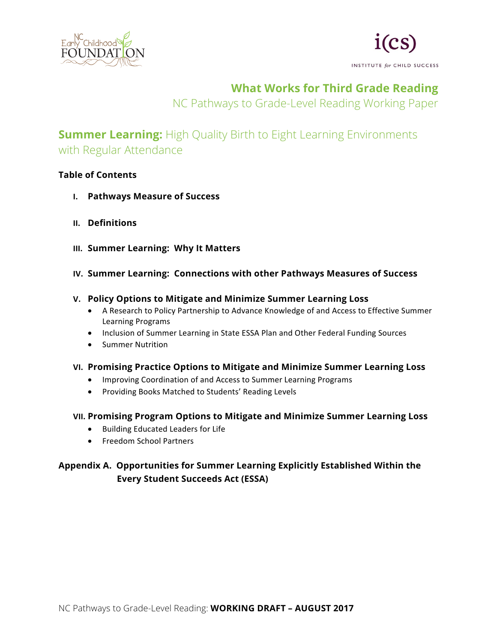



# **What Works for Third Grade Reading**

NC Pathways to Grade-Level Reading Working Paper

# **Summer Learning:** High Quality Birth to Eight Learning Environments with Regular Attendance

# **Table of Contents**

- **I. Pathways Measure of Success**
- **II. Definitions**
- **III. Summer Learning: Why It Matters**
- **IV. Summer Learning: Connections with other Pathways Measures of Success**

# **V. Policy Options to Mitigate and Minimize Summer Learning Loss**

- A Research to Policy Partnership to Advance Knowledge of and Access to Effective Summer Learning Programs
- Inclusion of Summer Learning in State ESSA Plan and Other Federal Funding Sources
- Summer Nutrition
- **VI. Promising Practice Options to Mitigate and Minimize Summer Learning Loss**
	- Improving Coordination of and Access to Summer Learning Programs
	- Providing Books Matched to Students' Reading Levels

# **VII. Promising Program Options to Mitigate and Minimize Summer Learning Loss**

- Building Educated Leaders for Life
- Freedom School Partners

# **Appendix A. Opportunities for Summer Learning Explicitly Established Within the Every Student Succeeds Act (ESSA)**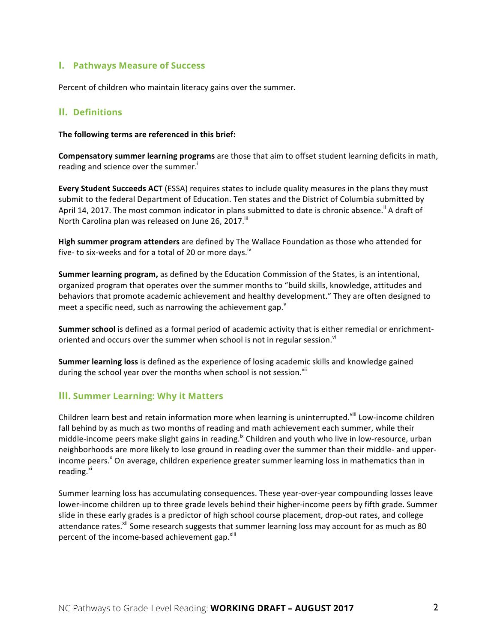# **I. Pathways Measure of Success**

Percent of children who maintain literacy gains over the summer.

### **II. Definitions**

The following terms are referenced in this brief:

**Compensatory summer learning programs** are those that aim to offset student learning deficits in math, reading and science over the summer.

**Every Student Succeeds ACT** (ESSA) requires states to include quality measures in the plans they must submit to the federal Department of Education. Ten states and the District of Columbia submitted by April 14, 2017. The most common indicator in plans submitted to date is chronic absence.<sup>ii</sup> A draft of North Carolina plan was released on June 26, 2017.<sup>iii</sup>

**High summer program attenders** are defined by The Wallace Foundation as those who attended for five- to six-weeks and for a total of 20 or more days.<sup>iv</sup>

**Summer learning program,** as defined by the Education Commission of the States, is an intentional, organized program that operates over the summer months to "build skills, knowledge, attitudes and behaviors that promote academic achievement and healthy development." They are often designed to meet a specific need, such as narrowing the achievement gap. $^{\text{v}}$ 

**Summer school** is defined as a formal period of academic activity that is either remedial or enrichmentoriented and occurs over the summer when school is not in regular session.<sup>vi</sup>

**Summer learning loss** is defined as the experience of losing academic skills and knowledge gained during the school year over the months when school is not session.<sup>vii</sup>

# **III. Summer Learning: Why it Matters**

Children learn best and retain information more when learning is uninterrupted.<sup>viii</sup> Low-income children fall behind by as much as two months of reading and math achievement each summer, while their middle-income peers make slight gains in reading.<sup>ix</sup> Children and youth who live in low-resource, urban neighborhoods are more likely to lose ground in reading over the summer than their middle- and upperincome peers.<sup>x</sup> On average, children experience greater summer learning loss in mathematics than in reading.<sup>xi</sup>

Summer learning loss has accumulating consequences. These year-over-year compounding losses leave lower-income children up to three grade levels behind their higher-income peers by fifth grade. Summer slide in these early grades is a predictor of high school course placement, drop-out rates, and college attendance rates.<sup>xii</sup> Some research suggests that summer learning loss may account for as much as 80 percent of the income-based achievement gap.<sup>xiii</sup>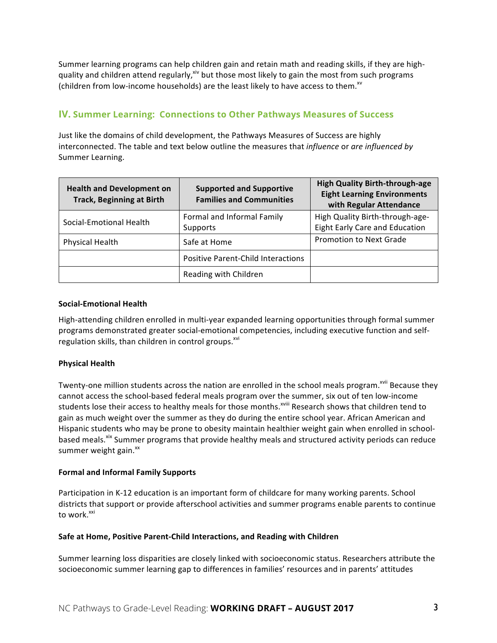Summer learning programs can help children gain and retain math and reading skills, if they are highquality and children attend regularly,<sup>xiv</sup> but those most likely to gain the most from such programs (children from low-income households) are the least likely to have access to them.<sup>xv</sup>

# **IV. Summer Learning: Connections to Other Pathways Measures of Success**

Just like the domains of child development, the Pathways Measures of Success are highly interconnected. The table and text below outline the measures that *influence* or are *influenced by* Summer Learning.

| <b>Health and Development on</b><br><b>Track, Beginning at Birth</b> | <b>Supported and Supportive</b><br><b>Families and Communities</b> | <b>High Quality Birth-through-age</b><br><b>Eight Learning Environments</b><br>with Regular Attendance |
|----------------------------------------------------------------------|--------------------------------------------------------------------|--------------------------------------------------------------------------------------------------------|
| Social-Emotional Health                                              | Formal and Informal Family<br>Supports                             | High Quality Birth-through-age-<br>Eight Early Care and Education                                      |
| <b>Physical Health</b>                                               | Safe at Home                                                       | <b>Promotion to Next Grade</b>                                                                         |
|                                                                      | <b>Positive Parent-Child Interactions</b>                          |                                                                                                        |
|                                                                      | Reading with Children                                              |                                                                                                        |

#### **Social-Emotional Health**

High-attending children enrolled in multi-year expanded learning opportunities through formal summer programs demonstrated greater social-emotional competencies, including executive function and selfregulation skills, than children in control groups. $^{xvi}$ 

# **Physical Health**

Twenty-one million students across the nation are enrolled in the school meals program.<sup>xvii</sup> Because they cannot access the school-based federal meals program over the summer, six out of ten low-income students lose their access to healthy meals for those months.<sup>xviii</sup> Research shows that children tend to gain as much weight over the summer as they do during the entire school year. African American and Hispanic students who may be prone to obesity maintain healthier weight gain when enrolled in schoolbased meals.<sup>xix</sup> Summer programs that provide healthy meals and structured activity periods can reduce summer weight gain.<sup>xx</sup>

#### **Formal and Informal Family Supports**

Participation in K-12 education is an important form of childcare for many working parents. School districts that support or provide afterschool activities and summer programs enable parents to continue to work.<sup>xxi</sup>

#### **Safe at Home, Positive Parent-Child Interactions, and Reading with Children**

Summer learning loss disparities are closely linked with socioeconomic status. Researchers attribute the socioeconomic summer learning gap to differences in families' resources and in parents' attitudes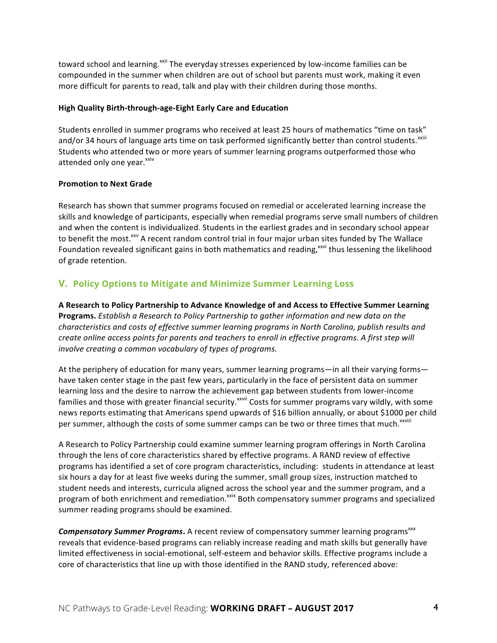toward school and learning.<sup>xxii</sup> The everyday stresses experienced by low-income families can be compounded in the summer when children are out of school but parents must work, making it even more difficult for parents to read, talk and play with their children during those months.

#### **High Quality Birth-through-age-Eight Early Care and Education**

Students enrolled in summer programs who received at least 25 hours of mathematics "time on task" and/or 34 hours of language arts time on task performed significantly better than control students.<sup>xxiii</sup> Students who attended two or more years of summer learning programs outperformed those who attended only one year.<sup>xxiv</sup>

#### **Promotion to Next Grade**

Research has shown that summer programs focused on remedial or accelerated learning increase the skills and knowledge of participants, especially when remedial programs serve small numbers of children and when the content is individualized. Students in the earliest grades and in secondary school appear to benefit the most.<sup>xxv</sup> A recent random control trial in four major urban sites funded by The Wallace Foundation revealed significant gains in both mathematics and reading,<sup>xxvi</sup> thus lessening the likelihood of grade retention.

# **V. Policy Options to Mitigate and Minimize Summer Learning Loss**

A Research to Policy Partnership to Advance Knowledge of and Access to Effective Summer Learning **Programs.** Establish a Research to Policy Partnership to gather information and new data on the characteristics and costs of effective summer learning programs in North Carolina, publish results and *create online access points for parents and teachers to enroll in effective programs.* A first step will *involve creating a common vocabulary of types of programs.* 

At the periphery of education for many years, summer learning programs—in all their varying forms have taken center stage in the past few years, particularly in the face of persistent data on summer learning loss and the desire to narrow the achievement gap between students from lower-income families and those with greater financial security.<sup>xxvii</sup> Costs for summer programs vary wildly, with some news reports estimating that Americans spend upwards of \$16 billion annually, or about \$1000 per child per summer, although the costs of some summer camps can be two or three times that much.<sup>xxviii</sup>

A Research to Policy Partnership could examine summer learning program offerings in North Carolina through the lens of core characteristics shared by effective programs. A RAND review of effective programs has identified a set of core program characteristics, including: students in attendance at least six hours a day for at least five weeks during the summer, small group sizes, instruction matched to student needs and interests, curricula aligned across the school year and the summer program, and a program of both enrichment and remediation.<sup>xxix</sup> Both compensatory summer programs and specialized summer reading programs should be examined.

**Compensatory Summer Programs.** A recent review of compensatory summer learning programs<sup>xxx</sup> reveals that evidence-based programs can reliably increase reading and math skills but generally have limited effectiveness in social-emotional, self-esteem and behavior skills. Effective programs include a core of characteristics that line up with those identified in the RAND study, referenced above: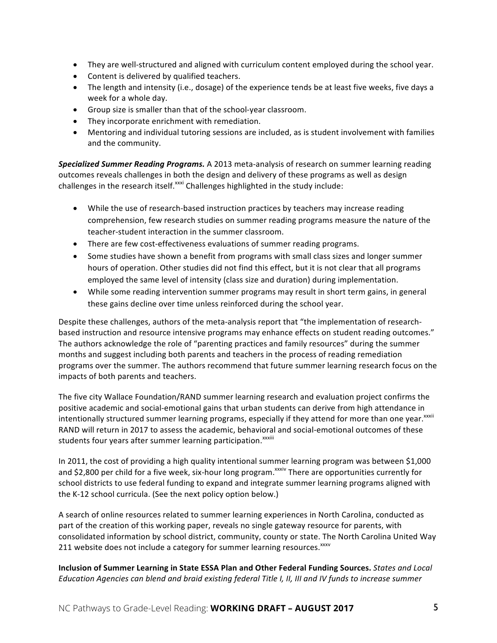- They are well-structured and aligned with curriculum content employed during the school year.
- Content is delivered by qualified teachers.
- The length and intensity (i.e., dosage) of the experience tends be at least five weeks, five days a week for a whole day.
- Group size is smaller than that of the school-year classroom.
- They incorporate enrichment with remediation.
- Mentoring and individual tutoring sessions are included, as is student involvement with families and the community.

**Specialized Summer Reading Programs.** A 2013 meta-analysis of research on summer learning reading outcomes reveals challenges in both the design and delivery of these programs as well as design challenges in the research itself.<sup>xxxi</sup> Challenges highlighted in the study include:

- While the use of research-based instruction practices by teachers may increase reading comprehension, few research studies on summer reading programs measure the nature of the teacher-student interaction in the summer classroom.
- There are few cost-effectiveness evaluations of summer reading programs.
- Some studies have shown a benefit from programs with small class sizes and longer summer hours of operation. Other studies did not find this effect, but it is not clear that all programs employed the same level of intensity (class size and duration) during implementation.
- While some reading intervention summer programs may result in short term gains, in general these gains decline over time unless reinforced during the school year.

Despite these challenges, authors of the meta-analysis report that "the implementation of researchbased instruction and resource intensive programs may enhance effects on student reading outcomes." The authors acknowledge the role of "parenting practices and family resources" during the summer months and suggest including both parents and teachers in the process of reading remediation programs over the summer. The authors recommend that future summer learning research focus on the impacts of both parents and teachers.

The five city Wallace Foundation/RAND summer learning research and evaluation project confirms the positive academic and social-emotional gains that urban students can derive from high attendance in intentionally structured summer learning programs, especially if they attend for more than one year.<sup>xxxii</sup> RAND will return in 2017 to assess the academic, behavioral and social-emotional outcomes of these students four years after summer learning participation.<sup>xxxiii</sup>

In 2011, the cost of providing a high quality intentional summer learning program was between \$1,000 and \$2,800 per child for a five week, six-hour long program.<sup>xxxiv</sup> There are opportunities currently for school districts to use federal funding to expand and integrate summer learning programs aligned with the K-12 school curricula. (See the next policy option below.)

A search of online resources related to summer learning experiences in North Carolina, conducted as part of the creation of this working paper, reveals no single gateway resource for parents, with consolidated information by school district, community, county or state. The North Carolina United Way 211 website does not include a category for summer learning resources. XXXV

**Inclusion of Summer Learning in State ESSA Plan and Other Federal Funding Sources.** States and Local *Education Agencies can blend and braid existing federal Title I, II, III and IV funds to increase summer*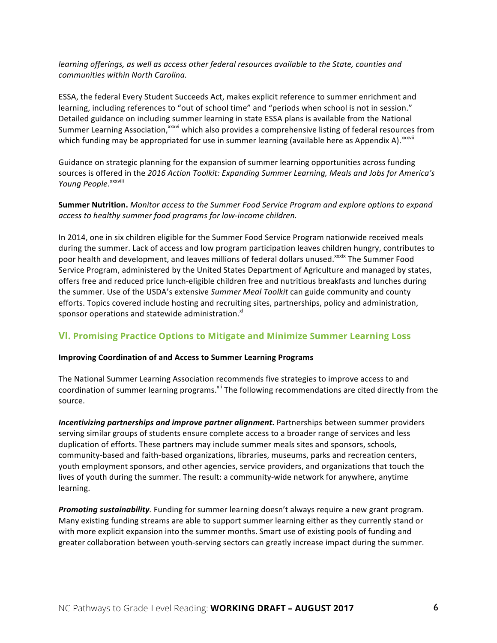#### *learning* offerings, as well as access other federal resources available to the State, counties and *communities within North Carolina.*

ESSA, the federal Every Student Succeeds Act, makes explicit reference to summer enrichment and learning, including references to "out of school time" and "periods when school is not in session." Detailed guidance on including summer learning in state ESSA plans is available from the National Summer Learning Association,<sup>xxxvi</sup> which also provides a comprehensive listing of federal resources from which funding may be appropriated for use in summer learning (available here as Appendix A).<sup>xxxvii</sup>

Guidance on strategic planning for the expansion of summer learning opportunities across funding sources is offered in the 2016 Action Toolkit: Expanding Summer Learning, Meals and Jobs for America's Young People. XXXVIII

#### **Summer Nutrition.** Monitor access to the Summer Food Service Program and explore options to expand access to healthy summer food programs for low-income children.

In 2014, one in six children eligible for the Summer Food Service Program nationwide received meals during the summer. Lack of access and low program participation leaves children hungry, contributes to poor health and development, and leaves millions of federal dollars unused.<sup>xxxix</sup> The Summer Food Service Program, administered by the United States Department of Agriculture and managed by states, offers free and reduced price lunch-eligible children free and nutritious breakfasts and lunches during the summer. Use of the USDA's extensive Summer Meal Toolkit can guide community and county efforts. Topics covered include hosting and recruiting sites, partnerships, policy and administration, sponsor operations and statewide administration.<sup>xl</sup>

# **VI. Promising Practice Options to Mitigate and Minimize Summer Learning Loss**

#### **Improving Coordination of and Access to Summer Learning Programs**

The National Summer Learning Association recommends five strategies to improve access to and coordination of summer learning programs.<sup>xli</sup> The following recommendations are cited directly from the source.

*Incentivizing partnerships and improve partner alignment*. Partnerships between summer providers serving similar groups of students ensure complete access to a broader range of services and less duplication of efforts. These partners may include summer meals sites and sponsors, schools, community-based and faith-based organizations, libraries, museums, parks and recreation centers, youth employment sponsors, and other agencies, service providers, and organizations that touch the lives of youth during the summer. The result: a community-wide network for anywhere, anytime learning.

*Promoting sustainability*. Funding for summer learning doesn't always require a new grant program. Many existing funding streams are able to support summer learning either as they currently stand or with more explicit expansion into the summer months. Smart use of existing pools of funding and greater collaboration between youth-serving sectors can greatly increase impact during the summer.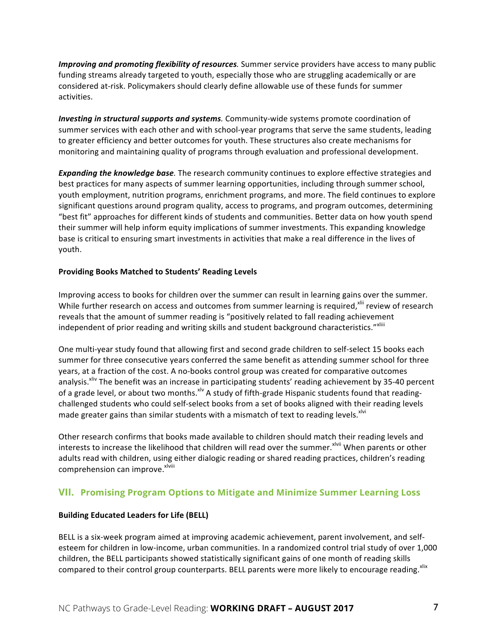*Improving and promoting flexibility of resources*. Summer service providers have access to many public funding streams already targeted to youth, especially those who are struggling academically or are considered at-risk. Policymakers should clearly define allowable use of these funds for summer activities.

*Investing in structural supports and systems.* Community-wide systems promote coordination of summer services with each other and with school-year programs that serve the same students, leading to greater efficiency and better outcomes for youth. These structures also create mechanisms for monitoring and maintaining quality of programs through evaluation and professional development.

**Expanding the knowledge base**. The research community continues to explore effective strategies and best practices for many aspects of summer learning opportunities, including through summer school, youth employment, nutrition programs, enrichment programs, and more. The field continues to explore significant questions around program quality, access to programs, and program outcomes, determining "best fit" approaches for different kinds of students and communities. Better data on how youth spend their summer will help inform equity implications of summer investments. This expanding knowledge base is critical to ensuring smart investments in activities that make a real difference in the lives of youth.

#### **Providing Books Matched to Students' Reading Levels**

Improving access to books for children over the summer can result in learning gains over the summer. While further research on access and outcomes from summer learning is required,<sup>xlii</sup> review of research reveals that the amount of summer reading is "positively related to fall reading achievement independent of prior reading and writing skills and student background characteristics."Xliii

One multi-year study found that allowing first and second grade children to self-select 15 books each summer for three consecutive years conferred the same benefit as attending summer school for three years, at a fraction of the cost. A no-books control group was created for comparative outcomes analysis.<sup>xliv</sup> The benefit was an increase in participating students' reading achievement by 35-40 percent of a grade level, or about two months. XIV A study of fifth-grade Hispanic students found that readingchallenged students who could self-select books from a set of books aligned with their reading levels made greater gains than similar students with a mismatch of text to reading levels.<sup>xlvi</sup>

Other research confirms that books made available to children should match their reading levels and interests to increase the likelihood that children will read over the summer.<sup>xlvii</sup> When parents or other adults read with children, using either dialogic reading or shared reading practices, children's reading comprehension can improve. X<sup>lviii</sup>

# **VII. Promising Program Options to Mitigate and Minimize Summer Learning Loss**

#### **Building Educated Leaders for Life (BELL)**

BELL is a six-week program aimed at improving academic achievement, parent involvement, and selfesteem for children in low-income, urban communities. In a randomized control trial study of over 1,000 children, the BELL participants showed statistically significant gains of one month of reading skills compared to their control group counterparts. BELL parents were more likely to encourage reading. Xlix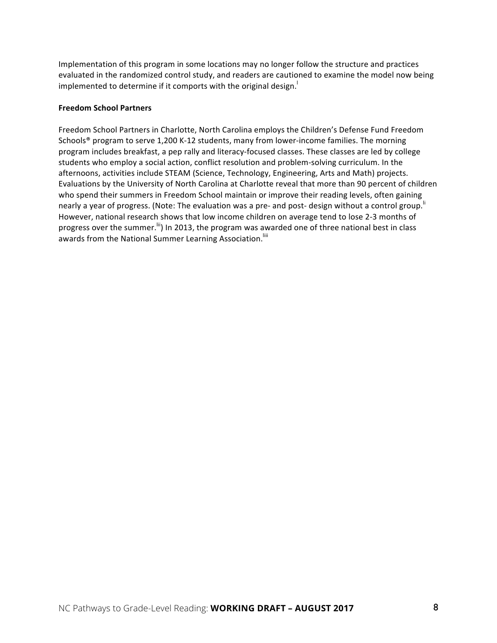Implementation of this program in some locations may no longer follow the structure and practices evaluated in the randomized control study, and readers are cautioned to examine the model now being implemented to determine if it comports with the original design.

#### **Freedom School Partners**

Freedom School Partners in Charlotte, North Carolina employs the Children's Defense Fund Freedom Schools® program to serve  $1,200$  K-12 students, many from lower-income families. The morning program includes breakfast, a pep rally and literacy-focused classes. These classes are led by college students who employ a social action, conflict resolution and problem-solving curriculum. In the afternoons, activities include STEAM (Science, Technology, Engineering, Arts and Math) projects. Evaluations by the University of North Carolina at Charlotte reveal that more than 90 percent of children who spend their summers in Freedom School maintain or improve their reading levels, often gaining nearly a year of progress. (Note: The evaluation was a pre- and post- design without a control group.<sup>"</sup> However, national research shows that low income children on average tend to lose 2-3 months of progress over the summer.<sup>lii</sup>) In 2013, the program was awarded one of three national best in class awards from the National Summer Learning Association.<sup>Iiii</sup>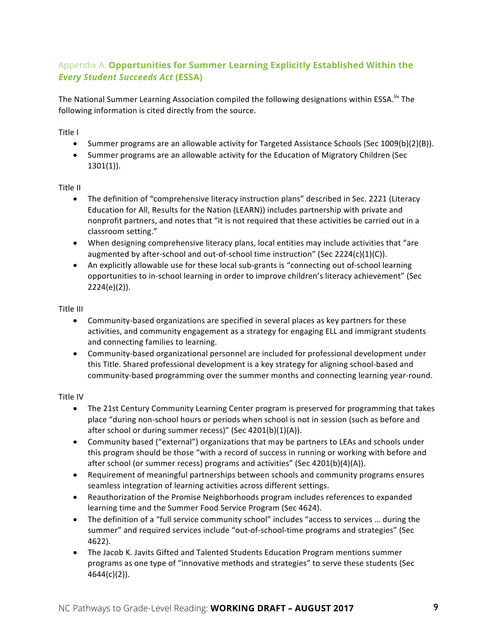# Appendix A. **Opportunities for Summer Learning Explicitly Established Within the**  *Every Student Succeeds Act* **(ESSA)**

The National Summer Learning Association compiled the following designations within ESSA.<sup>Iiv</sup> The following information is cited directly from the source.

Title I

- Summer programs are an allowable activity for Targeted Assistance Schools (Sec 1009(b)(2)(B)).
- Summer programs are an allowable activity for the Education of Migratory Children (Sec 1301(1)).

#### Title II

- The definition of "comprehensive literacy instruction plans" described in Sec. 2221 (Literacy Education for All, Results for the Nation (LEARN)) includes partnership with private and nonprofit partners, and notes that "it is not required that these activities be carried out in a classroom setting."
- When designing comprehensive literacy plans, local entities may include activities that "are augmented by after-school and out-of-school time instruction" (Sec 2224(c)(1)(C)).
- An explicitly allowable use for these local sub-grants is "connecting out of-school learning opportunities to in-school learning in order to improve children's literacy achievement" (Sec 2224(e)(2)).

#### Title III

- Community-based organizations are specified in several places as key partners for these activities, and community engagement as a strategy for engaging ELL and immigrant students and connecting families to learning.
- Community-based organizational personnel are included for professional development under this Title. Shared professional development is a key strategy for aligning school-based and community-based programming over the summer months and connecting learning year-round.

# **Title IV**

- The 21st Century Community Learning Center program is preserved for programming that takes place "during non-school hours or periods when school is not in session (such as before and after school or during summer recess)" (Sec  $4201(b)(1)(A)$ ).
- Community based ("external") organizations that may be partners to LEAs and schools under this program should be those "with a record of success in running or working with before and after school (or summer recess) programs and activities" (Sec 4201(b)(4)(A)).
- Requirement of meaningful partnerships between schools and community programs ensures seamless integration of learning activities across different settings.
- Reauthorization of the Promise Neighborhoods program includes references to expanded learning time and the Summer Food Service Program (Sec 4624).
- The definition of a "full service community school" includes "access to services ... during the summer" and required services include "out-of-school-time programs and strategies" (Sec 4622).
- The Jacob K. Javits Gifted and Talented Students Education Program mentions summer programs as one type of "innovative methods and strategies" to serve these students (Sec 4644(c)(2)).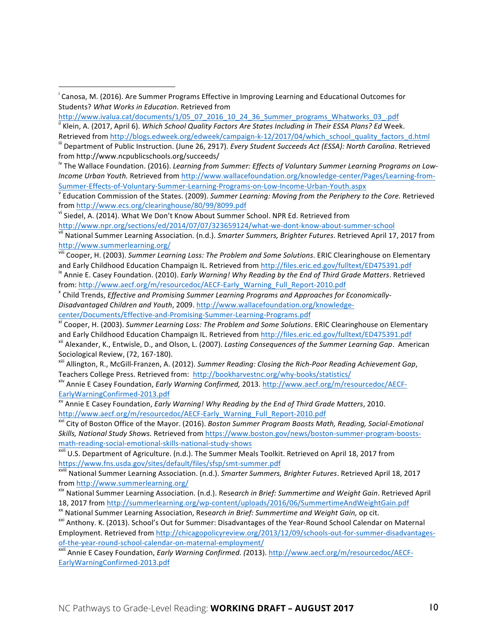<sup>iv</sup> The Wallace Foundation. (2016). *Learning from Summer: Effects of Voluntary Summer Learning Programs on Low-Income Urban Youth.* Retrieved from http://www.wallacefoundation.org/knowledge-center/Pages/Learning-from-

Summer-Effects-of-Voluntary-Summer-Learning-Programs-on-Low-Income-Urban-Youth.aspx<br><sup>V</sup> Education Commission of the States. (2009). *Summer Learning: Moving from the Periphery to the Core.* Retrieved from http://www.ecs.org/clearinghouse/80/99/8099.pdf<br>vi Siedel, A. (2014). What We Don't Know About Summer School. NPR Ed. Retrieved from

 $\overline{a}$ 

http://www.npr.org/sections/ed/2014/07/07/323659124/what-we-dont-know-about-summer-school<br>vii National Summer Learning Association. (n.d.). Smarter Summers, Brighter Futures. Retrieved April 17, 2017 from http://www.summerlearning.org/

viii Cooper, H. (2003). *Summer Learning Loss: The Problem and Some Solutions*. ERIC Clearinghouse on Elementary and Early Childhood Education Champaign IL. Retrieved from http://files.eric.ed.gov/fulltext/ED475391.pdf ix Annie E. Casey Foundation. (2010). *Early Warning! Why Reading by the End of Third Grade Matters*. Retrieved

from: http://www.aecf.org/m/resourcedoc/AECF-Early\_Warning\_Full\_Report-2010.pdf<br><sup>x</sup> Child Trends, *Effective and Promising Summer Learning Programs and Approaches for Economically-*

Disadvantaged Children and Youth, 2009. http://www.wallacefoundation.org/knowledge-

center/Documents/Effective-and-Promising-Summer-Learning-Programs.pdf<br><sup>xi</sup> Cooper, H. (2003). *Summer Learning Loss: The Problem and Some Solutions*. ERIC Clearinghouse on Elementary and Early Childhood Education Champaign IL. Retrieved from http://files.eric.ed.gov/fulltext/ED475391.pdf<br><sup>xii</sup> Alexander, K., Entwisle, D., and Olson, L. (2007). Lasting Consequences of the Summer Learning Gap. American

Sociological Review, (72, 167-180).<br><sup>xiii</sup> Allington, R., McGill-Franzen, A. (2012). Summer Reading: Closing the Rich-Poor Reading Achievement Gap,

Teachers College Press. Retrieved from: http://bookharvestnc.org/why-books/statistics/<br><sup>xiv</sup> Annie E Casey Foundation, *Early Warning Confirmed*, 2013. http://www.aecf.org/m/resourcedoc/AECF-

EarlyWarningConfirmed-2013.pdf<br><sup>xv</sup> Annie E Casey Foundation, *Early Warning! Why Reading by the End of Third Grade Matters*, 2010.

http://www.aecf.org/m/resourcedoc/AECF-Early Warning Full\_Report-2010.pdf<br><sup>xvi</sup> City of Boston Office of the Mayor. (2016). *Boston Summer Program Boosts Math, Reading, Social-Emotional* Skills, National Study Shows. Retrieved from https://www.boston.gov/news/boston-summer-program-boostsmath-reading-social-emotional-skills-national-study-shows<br>xvii U.S. Department of Agriculture. (n.d.). The Summer Meals Toolkit. Retrieved on April 18, 2017 from

https://www.fns.usda.gov/sites/default/files/sfsp/smt-summer.pdf<br><sup>xviii</sup> National Summer Learning Association. (n.d.). Smarter Summers, Brighter Futures. Retrieved April 18, 2017

from <u>http://www.summerlearning.org/</u><br><sup>xix</sup> National Summer Learning Association. (n.d.). Research in Brief: Summertime and Weight Gain. Retrieved April

18, 2017 from http://summerlearning.org/wp-content/uploads/2016/06/SummertimeAndWeightGain.pdf<br><sup>xx</sup> National Summer Learning Association, Research in Brief: Summertime and Weight Gain, op cit.<br><sup>xxi</sup> Anthony. K. (2013). Sch

Employment. Retrieved from http://chicagopolicyreview.org/2013/12/09/schools-out-for-summer-disadvantagesof-the-year-round-school-calendar-on-maternal-employment/<br><sup>xxii</sup> Annie E Casey Foundation, *Early Warning Confirmed.* (2013). http://www.aecf.org/m/resourcedoc/AECF-

EarlyWarningConfirmed-2013.pdf

i Canosa, M. (2016). Are Summer Programs Effective in Improving Learning and Educational Outcomes for Students? What Works in Education. Retrieved from

http://www.ivalua.cat/documents/1/05\_07\_2016\_10\_24\_36\_Summer\_programs\_Whatworks\_03\_.pdf

<sup>&</sup>lt;sup>ii</sup> Klein, A. (2017, April 6). *Which School Quality Factors Are States Including in Their ESSA Plans? Ed* Week. Retrieved from http://blogs.edweek.org/edweek/campaign-k-12/2017/04/which\_school\_quality\_factors\_d.html<br>ill Department of Public Instruction. (June 26, 2917). Every Student Succeeds Act (ESSA): North Carolina. Retrieved

from http://www.ncpublicschools.org/succeeds/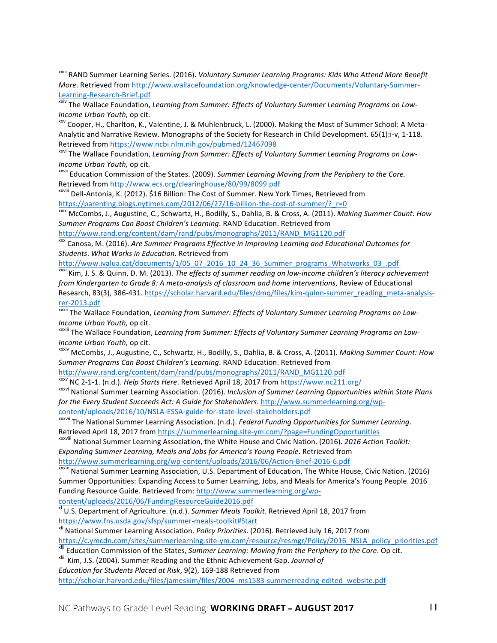<sup>xxiii</sup> RAND Summer Learning Series. (2016). *Voluntary Summer Learning Programs: Kids Who Attend More Benefit More*. Retrieved from http://www.wallacefoundation.org/knowledge-center/Documents/Voluntary-Summer-Learning-Research-Brief.pdf<br><sup>xxiv</sup> The Wallace Foundation, *Learning from Summer: Effects of Voluntary Summer Learning Programs on Low-*

*Income Urban Youth,* op cit.<br><sup>xxv</sup> Cooper, H., Charlton, K., Valentine, J. & Muhlenbruck, L. (2000). Making the Most of Summer School: A Meta-

Analytic and Narrative Review. Monographs of the Society for Research in Child Development. 65(1):i-v, 1-118. Retrieved from https://www.ncbi.nlm.nih.gov/pubmed/12467098<br>
xxvi The Wallace Foundation, *Learning from Summer: Effects of Voluntary Summer Learning Programs on Low-*

*Income Urban Youth,* op cit.<br><sup>xxvii</sup> Education Commission of the States. (2009). Summer Learning Moving from the Periphery to the Core.

Retrieved from http://www.ecs.org/clearinghouse/80/99/8099.pdf<br>
xxviii Dell-Antonia, K. (2012). \$16 Billion: The Cost of Summer. New York Times, Retrieved from

https://parenting.blogs.nytimes.com/2012/06/27/16-billion-the-cost-of-summer/? r=0 xxix McCombs, J., Augustine, C., Schwartz, H., Bodilly, S., Dahlia, B. & Cross, A. (2011). *Making Summer Count: How* Summer Programs Can Boost Children's Learning. RAND Education. Retrieved from

http://www.rand.org/content/dam/rand/pubs/monographs/2011/RAND\_MG1120.pdf

l

 $\overline{x}$ xxx Canosa, M. (2016). Are Summer Programs Effective in Improving Learning and Educational Outcomes for *Students*. *What Works in Education*. Retrieved from 

http://www.ivalua.cat/documents/1/05\_07\_2016\_10\_24\_36\_Summer\_programs\_Whatworks\_03\_.pdf

<sup>xxxi</sup> Kim, J. S. & Quinn, D. M. (2013). The effects of summer reading on low-income children's literacy achievement *from Kindergarten to Grade 8: A meta-analysis of classroom and home interventions*, Review of Educational Research, 83(3), 386-431. https://scholar.harvard.edu/files/dmq/files/kim-quinn-summer\_reading\_meta-analysis-

rer-2013.pdf<br><sup>xxxii</sup> The Wallace Foundation, *Learning from Summer: Effects of Voluntary Summer Learning Programs on Low-Income Urban Youth,* op cit.<br><sup>xxxiii</sup> The Wallace Foundation, *Learning from Summer: Effects of Voluntary Summer Learning Programs on Low-*

*Income Urban Youth,* op cit.<br><sup>xxxiv</sup> McCombs, J., Augustine, C., Schwartz, H., Bodilly, S., Dahlia, B. & Cross, A. (2011). *Making Summer Count: How* 

Summer Programs Can Boost Children's Learning. RAND Education. Retrieved from

http://www.rand.org/content/dam/rand/pubs/monographs/2011/RAND\_MG1120.pdf<br>xxxv NC 2-1-1. (n.d.). Help Starts Here. Retrieved April 18, 2017 from https://www.nc211.org/

<sup>xxxvi</sup> National Summer Learning Association. (2016). *Inclusion of Summer Learning Opportunities within State Plans for the Every Student Succeeds Act: A Guide for Stakeholders.* http://www.summerlearning.org/wp-<br>content/uploads/2016/10/NSLA-ESSA-guide-for-state-level-stakeholders.pdf

**xxxvii The National Summer Learning Association.** (n.d.). Federal Funding Opportunities for Summer Learning.

Retrieved April 18, 2017 from https://summerlearning.site-ym.com/?page=FundingOpportunities xxxviii National Summer Learning Association, the White House and Civic Nation. (2016). *2016 Action Toolkit:* Expanding Summer Learning, Meals and Jobs for America's Young People. Retrieved from

http://www.summerlearning.org/wp-content/uploads/2016/06/Action-Brief-2016-6.pdf<br><sup>xxxix</sup> National Summer Learning Association, U.S. Department of Education, The White House, Civic Nation. (2016)

Summer Opportunities: Expanding Access to Sumer Learning, Jobs, and Meals for America's Young People. 2016 Funding Resource Guide. Retrieved from: http://www.summerlearning.org/wpcontent/uploads/2016/06/FundingResourceGuide2016.pdf

 $\overline{x}$  U.S. Department of Agriculture. (n.d.). *Summer Meals Toolkit*. Retrieved April 18, 2017 from https://www.fns.usda.gov/sfsp/summer-meals-toolkit#Start<br><sup>xli</sup> National Summer Learning Association. *Policy Priorities*. (2016). Retrieved July 16, 2017 from

https://c.ymcdn.com/sites/summerlearning.site-ym.com/resource/resmgr/Policy/2016 NSLA policy priorities.pdf<br>
<sup>xlii</sup> Education Commission of the States, Summer Learning: Moving from the Periphery to the Core. Op cit.<br>
<sup>xlii</sup>

*Education for Students Placed at Risk*, 9(2), 169-188 Retrieved from 

http://scholar.harvard.edu/files/jameskim/files/2004\_ms1583-summerreading-edited\_website.pdf